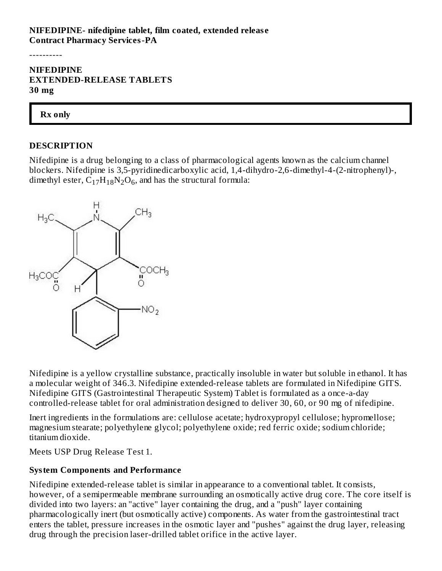----------

#### **NIFEDIPINE EXTENDED-RELEASE TABLETS 30 mg**

#### **Rx only**

#### **DESCRIPTION**

Nifedipine is a drug belonging to a class of pharmacological agents known as the calcium channel blockers. Nifedipine is 3,5-pyridinedicarboxylic acid, 1,4-dihydro-2,6-dimethyl-4-(2-nitrophenyl)-, dimethyl ester,  $C_{17}H_{18}N_2O_6$ , and has the structural formula:



Nifedipine is a yellow crystalline substance, practically insoluble in water but soluble in ethanol. It has a molecular weight of 346.3. Nifedipine extended-release tablets are formulated in Nifedipine GITS. Nifedipine GITS (Gastrointestinal Therapeutic System) Tablet is formulated as a once-a-day controlled-release tablet for oral administration designed to deliver 30, 60, or 90 mg of nifedipine.

Inert ingredients in the formulations are: cellulose acetate; hydroxypropyl cellulose; hypromellose; magnesium stearate; polyethylene glycol; polyethylene oxide; red ferric oxide; sodium chloride; titanium dioxide.

Meets USP Drug Release Test 1.

#### **System Components and Performance**

Nifedipine extended-release tablet is similar in appearance to a conventional tablet. It consists, however, of a semipermeable membrane surrounding an osmotically active drug core. The core itself is divided into two layers: an "active" layer containing the drug, and a "push" layer containing pharmacologically inert (but osmotically active) components. As water from the gastrointestinal tract enters the tablet, pressure increases in the osmotic layer and "pushes" against the drug layer, releasing drug through the precision laser-drilled tablet orifice in the active layer.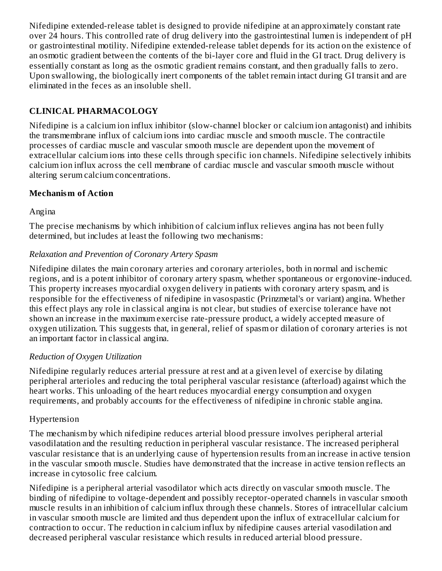Nifedipine extended-release tablet is designed to provide nifedipine at an approximately constant rate over 24 hours. This controlled rate of drug delivery into the gastrointestinal lumen is independent of pH or gastrointestinal motility. Nifedipine extended-release tablet depends for its action on the existence of an osmotic gradient between the contents of the bi-layer core and fluid in the GI tract. Drug delivery is essentially constant as long as the osmotic gradient remains constant, and then gradually falls to zero. Upon swallowing, the biologically inert components of the tablet remain intact during GI transit and are eliminated in the feces as an insoluble shell.

# **CLINICAL PHARMACOLOGY**

Nifedipine is a calcium ion influx inhibitor (slow-channel blocker or calcium ion antagonist) and inhibits the transmembrane influx of calcium ions into cardiac muscle and smooth muscle. The contractile processes of cardiac muscle and vascular smooth muscle are dependent upon the movement of extracellular calcium ions into these cells through specific ion channels. Nifedipine selectively inhibits calcium ion influx across the cell membrane of cardiac muscle and vascular smooth muscle without altering serum calcium concentrations.

#### **Mechanism of Action**

#### Angina

The precise mechanisms by which inhibition of calcium influx relieves angina has not been fully determined, but includes at least the following two mechanisms:

# *Relaxation and Prevention of Coronary Artery Spasm*

Nifedipine dilates the main coronary arteries and coronary arterioles, both in normal and ischemic regions, and is a potent inhibitor of coronary artery spasm, whether spontaneous or ergonovine-induced. This property increases myocardial oxygen delivery in patients with coronary artery spasm, and is responsible for the effectiveness of nifedipine in vasospastic (Prinzmetal's or variant) angina. Whether this effect plays any role in classical angina is not clear, but studies of exercise tolerance have not shown an increase in the maximum exercise rate-pressure product, a widely accepted measure of oxygen utilization. This suggests that, in general, relief of spasm or dilation of coronary arteries is not an important factor in classical angina.

# *Reduction of Oxygen Utilization*

Nifedipine regularly reduces arterial pressure at rest and at a given level of exercise by dilating peripheral arterioles and reducing the total peripheral vascular resistance (afterload) against which the heart works. This unloading of the heart reduces myocardial energy consumption and oxygen requirements, and probably accounts for the effectiveness of nifedipine in chronic stable angina.

# Hypertension

The mechanism by which nifedipine reduces arterial blood pressure involves peripheral arterial vasodilatation and the resulting reduction in peripheral vascular resistance. The increased peripheral vascular resistance that is an underlying cause of hypertension results from an increase in active tension in the vascular smooth muscle. Studies have demonstrated that the increase in active tension reflects an increase in cytosolic free calcium.

Nifedipine is a peripheral arterial vasodilator which acts directly on vascular smooth muscle. The binding of nifedipine to voltage-dependent and possibly receptor-operated channels in vascular smooth muscle results in an inhibition of calcium influx through these channels. Stores of intracellular calcium in vascular smooth muscle are limited and thus dependent upon the influx of extracellular calcium for contraction to occur. The reduction in calcium influx by nifedipine causes arterial vasodilation and decreased peripheral vascular resistance which results in reduced arterial blood pressure.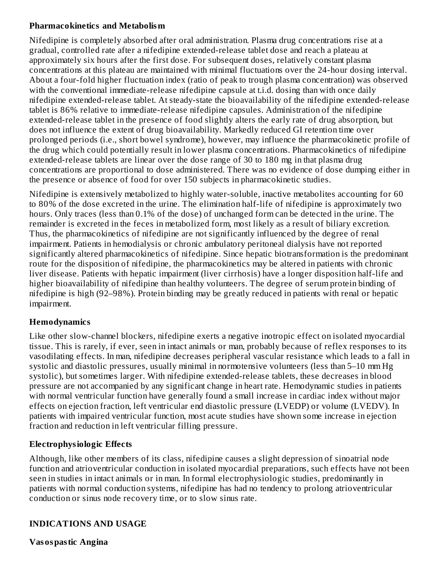#### **Pharmacokinetics and Metabolism**

Nifedipine is completely absorbed after oral administration. Plasma drug concentrations rise at a gradual, controlled rate after a nifedipine extended-release tablet dose and reach a plateau at approximately six hours after the first dose. For subsequent doses, relatively constant plasma concentrations at this plateau are maintained with minimal fluctuations over the 24-hour dosing interval. About a four-fold higher fluctuation index (ratio of peak to trough plasma concentration) was observed with the conventional immediate-release nifedipine capsule at t.i.d. dosing than with once daily nifedipine extended-release tablet. At steady-state the bioavailability of the nifedipine extended-release tablet is 86% relative to immediate-release nifedipine capsules. Administration of the nifedipine extended-release tablet in the presence of food slightly alters the early rate of drug absorption, but does not influence the extent of drug bioavailability. Markedly reduced GI retention time over prolonged periods (i.e., short bowel syndrome), however, may influence the pharmacokinetic profile of the drug which could potentially result in lower plasma concentrations. Pharmacokinetics of nifedipine extended-release tablets are linear over the dose range of 30 to 180 mg in that plasma drug concentrations are proportional to dose administered. There was no evidence of dose dumping either in the presence or absence of food for over 150 subjects in pharmacokinetic studies.

Nifedipine is extensively metabolized to highly water-soluble, inactive metabolites accounting for 60 to 80% of the dose excreted in the urine. The elimination half-life of nifedipine is approximately two hours. Only traces (less than 0.1% of the dose) of unchanged form can be detected in the urine. The remainder is excreted in the feces in metabolized form, most likely as a result of biliary excretion. Thus, the pharmacokinetics of nifedipine are not significantly influenced by the degree of renal impairment. Patients in hemodialysis or chronic ambulatory peritoneal dialysis have not reported significantly altered pharmacokinetics of nifedipine. Since hepatic biotransformation is the predominant route for the disposition of nifedipine, the pharmacokinetics may be altered in patients with chronic liver disease. Patients with hepatic impairment (liver cirrhosis) have a longer disposition half-life and higher bioavailability of nifedipine than healthy volunteers. The degree of serum protein binding of nifedipine is high (92–98%). Protein binding may be greatly reduced in patients with renal or hepatic impairment.

# **Hemodynamics**

Like other slow-channel blockers, nifedipine exerts a negative inotropic effect on isolated myocardial tissue. This is rarely, if ever, seen in intact animals or man, probably because of reflex responses to its vasodilating effects. In man, nifedipine decreases peripheral vascular resistance which leads to a fall in systolic and diastolic pressures, usually minimal in normotensive volunteers (less than 5–10 mm Hg systolic), but sometimes larger. With nifedipine extended-release tablets, these decreases in blood pressure are not accompanied by any significant change in heart rate. Hemodynamic studies in patients with normal ventricular function have generally found a small increase in cardiac index without major effects on ejection fraction, left ventricular end diastolic pressure (LVEDP) or volume (LVEDV). In patients with impaired ventricular function, most acute studies have shown some increase in ejection fraction and reduction in left ventricular filling pressure.

# **Electrophysiologic Effects**

Although, like other members of its class, nifedipine causes a slight depression of sinoatrial node function and atrioventricular conduction in isolated myocardial preparations, such effects have not been seen in studies in intact animals or in man. In formal electrophysiologic studies, predominantly in patients with normal conduction systems, nifedipine has had no tendency to prolong atrioventricular conduction or sinus node recovery time, or to slow sinus rate.

# **INDICATIONS AND USAGE**

**Vasospastic Angina**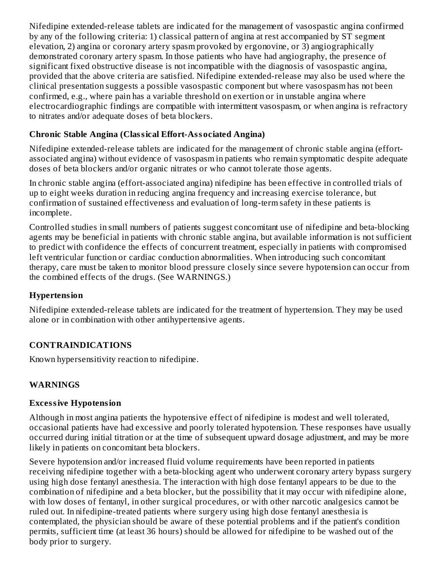Nifedipine extended-release tablets are indicated for the management of vasospastic angina confirmed by any of the following criteria: 1) classical pattern of angina at rest accompanied by ST segment elevation, 2) angina or coronary artery spasm provoked by ergonovine, or 3) angiographically demonstrated coronary artery spasm. In those patients who have had angiography, the presence of significant fixed obstructive disease is not incompatible with the diagnosis of vasospastic angina, provided that the above criteria are satisfied. Nifedipine extended-release may also be used where the clinical presentation suggests a possible vasospastic component but where vasospasm has not been confirmed, e.g., where pain has a variable threshold on exertion or in unstable angina where electrocardiographic findings are compatible with intermittent vasospasm, or when angina is refractory to nitrates and/or adequate doses of beta blockers.

### **Chronic Stable Angina (Classical Effort-Associated Angina)**

Nifedipine extended-release tablets are indicated for the management of chronic stable angina (effortassociated angina) without evidence of vasospasm in patients who remain symptomatic despite adequate doses of beta blockers and/or organic nitrates or who cannot tolerate those agents.

In chronic stable angina (effort-associated angina) nifedipine has been effective in controlled trials of up to eight weeks duration in reducing angina frequency and increasing exercise tolerance, but confirmation of sustained effectiveness and evaluation of long-term safety in these patients is incomplete.

Controlled studies in small numbers of patients suggest concomitant use of nifedipine and beta-blocking agents may be beneficial in patients with chronic stable angina, but available information is not sufficient to predict with confidence the effects of concurrent treatment, especially in patients with compromised left ventricular function or cardiac conduction abnormalities. When introducing such concomitant therapy, care must be taken to monitor blood pressure closely since severe hypotension can occur from the combined effects of the drugs. (See WARNINGS.)

#### **Hypertension**

Nifedipine extended-release tablets are indicated for the treatment of hypertension. They may be used alone or in combination with other antihypertensive agents.

#### **CONTRAINDICATIONS**

Known hypersensitivity reaction to nifedipine.

#### **WARNINGS**

#### **Excessive Hypotension**

Although in most angina patients the hypotensive effect of nifedipine is modest and well tolerated, occasional patients have had excessive and poorly tolerated hypotension. These responses have usually occurred during initial titration or at the time of subsequent upward dosage adjustment, and may be more likely in patients on concomitant beta blockers.

Severe hypotension and/or increased fluid volume requirements have been reported in patients receiving nifedipine together with a beta-blocking agent who underwent coronary artery bypass surgery using high dose fentanyl anesthesia. The interaction with high dose fentanyl appears to be due to the combination of nifedipine and a beta blocker, but the possibility that it may occur with nifedipine alone, with low doses of fentanyl, in other surgical procedures, or with other narcotic analgesics cannot be ruled out. In nifedipine-treated patients where surgery using high dose fentanyl anesthesia is contemplated, the physician should be aware of these potential problems and if the patient's condition permits, sufficient time (at least 36 hours) should be allowed for nifedipine to be washed out of the body prior to surgery.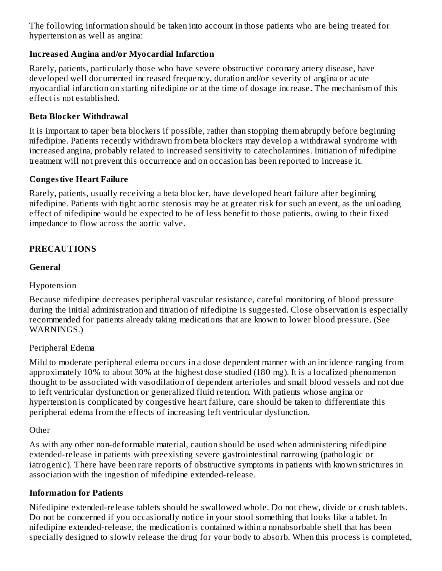The following information should be taken into account in those patients who are being treated for hypertension as well as angina:

# **Increas ed Angina and/or Myocardial Infarction**

Rarely, patients, particularly those who have severe obstructive coronary artery disease, have developed well documented increased frequency, duration and/or severity of angina or acute myocardial infarction on starting nifedipine or at the time of dosage increase. The mechanism of this effect is not established.

#### **Beta Blocker Withdrawal**

It is important to taper beta blockers if possible, rather than stopping them abruptly before beginning nifedipine. Patients recently withdrawn from beta blockers may develop a withdrawal syndrome with increased angina, probably related to increased sensitivity to catecholamines. Initiation of nifedipine treatment will not prevent this occurrence and on occasion has been reported to increase it.

#### **Congestive Heart Failure**

Rarely, patients, usually receiving a beta blocker, have developed heart failure after beginning nifedipine. Patients with tight aortic stenosis may be at greater risk for such an event, as the unloading effect of nifedipine would be expected to be of less benefit to those patients, owing to their fixed impedance to flow across the aortic valve.

#### **PRECAUTIONS**

#### **General**

#### Hypotension

Because nifedipine decreases peripheral vascular resistance, careful monitoring of blood pressure during the initial administration and titration of nifedipine is suggested. Close observation is especially recommended for patients already taking medications that are known to lower blood pressure. (See WARNINGS.)

#### Peripheral Edema

Mild to moderate peripheral edema occurs in a dose dependent manner with an incidence ranging from approximately 10% to about 30% at the highest dose studied (180 mg). It is a localized phenomenon thought to be associated with vasodilation of dependent arterioles and small blood vessels and not due to left ventricular dysfunction or generalized fluid retention. With patients whose angina or hypertension is complicated by congestive heart failure, care should be taken to differentiate this peripheral edema from the effects of increasing left ventricular dysfunction.

#### **Other**

As with any other non-deformable material, caution should be used when administering nifedipine extended-release in patients with preexisting severe gastrointestinal narrowing (pathologic or iatrogenic). There have been rare reports of obstructive symptoms in patients with known strictures in association with the ingestion of nifedipine extended-release.

#### **Information for Patients**

Nifedipine extended-release tablets should be swallowed whole. Do not chew, divide or crush tablets. Do not be concerned if you occasionally notice in your stool something that looks like a tablet. In nifedipine extended-release, the medication is contained within a nonabsorbable shell that has been specially designed to slowly release the drug for your body to absorb. When this process is completed,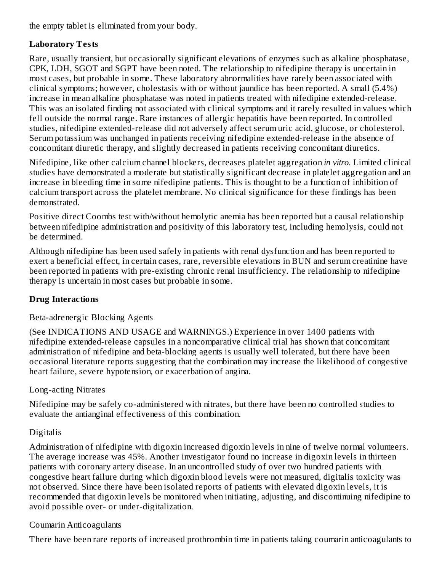the empty tablet is eliminated from your body.

# **Laboratory Tests**

Rare, usually transient, but occasionally significant elevations of enzymes such as alkaline phosphatase, CPK, LDH, SGOT and SGPT have been noted. The relationship to nifedipine therapy is uncertain in most cases, but probable in some. These laboratory abnormalities have rarely been associated with clinical symptoms; however, cholestasis with or without jaundice has been reported. A small (5.4%) increase in mean alkaline phosphatase was noted in patients treated with nifedipine extended-release. This was an isolated finding not associated with clinical symptoms and it rarely resulted in values which fell outside the normal range. Rare instances of allergic hepatitis have been reported. In controlled studies, nifedipine extended-release did not adversely affect serum uric acid, glucose, or cholesterol. Serum potassium was unchanged in patients receiving nifedipine extended-release in the absence of concomitant diuretic therapy, and slightly decreased in patients receiving concomitant diuretics.

Nifedipine, like other calcium channel blockers, decreases platelet aggregation *in vitro.* Limited clinical studies have demonstrated a moderate but statistically significant decrease in platelet aggregation and an increase in bleeding time in some nifedipine patients. This is thought to be a function of inhibition of calcium transport across the platelet membrane. No clinical significance for these findings has been demonstrated.

Positive direct Coombs test with/without hemolytic anemia has been reported but a causal relationship between nifedipine administration and positivity of this laboratory test, including hemolysis, could not be determined.

Although nifedipine has been used safely in patients with renal dysfunction and has been reported to exert a beneficial effect, in certain cases, rare, reversible elevations in BUN and serum creatinine have been reported in patients with pre-existing chronic renal insufficiency. The relationship to nifedipine therapy is uncertain in most cases but probable in some.

# **Drug Interactions**

# Beta-adrenergic Blocking Agents

(See INDICATIONS AND USAGE and WARNINGS.) Experience in over 1400 patients with nifedipine extended-release capsules in a noncomparative clinical trial has shown that concomitant administration of nifedipine and beta-blocking agents is usually well tolerated, but there have been occasional literature reports suggesting that the combination may increase the likelihood of congestive heart failure, severe hypotension, or exacerbation of angina.

# Long-acting Nitrates

Nifedipine may be safely co-administered with nitrates, but there have been no controlled studies to evaluate the antianginal effectiveness of this combination.

# Digitalis

Administration of nifedipine with digoxin increased digoxin levels in nine of twelve normal volunteers. The average increase was 45%. Another investigator found no increase in digoxin levels in thirteen patients with coronary artery disease. In an uncontrolled study of over two hundred patients with congestive heart failure during which digoxin blood levels were not measured, digitalis toxicity was not observed. Since there have been isolated reports of patients with elevated digoxin levels, it is recommended that digoxin levels be monitored when initiating, adjusting, and discontinuing nifedipine to avoid possible over- or under-digitalization.

# Coumarin Anticoagulants

There have been rare reports of increased prothrombin time in patients taking coumarin anticoagulants to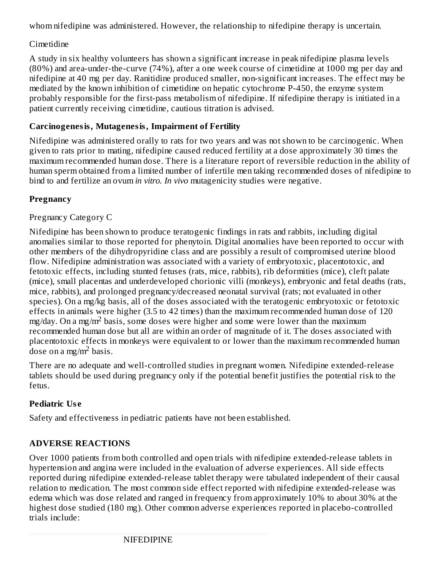whom nifedipine was administered. However, the relationship to nifedipine therapy is uncertain.

# **Cimetidine**

A study in six healthy volunteers has shown a significant increase in peak nifedipine plasma levels (80%) and area-under-the-curve (74%), after a one week course of cimetidine at 1000 mg per day and nifedipine at 40 mg per day. Ranitidine produced smaller, non-significant increases. The effect may be mediated by the known inhibition of cimetidine on hepatic cytochrome P-450, the enzyme system probably responsible for the first-pass metabolism of nifedipine. If nifedipine therapy is initiated in a patient currently receiving cimetidine, cautious titration is advised.

# **Carcinogenesis, Mutagenesis, Impairment of Fertility**

Nifedipine was administered orally to rats for two years and was not shown to be carcinogenic. When given to rats prior to mating, nifedipine caused reduced fertility at a dose approximately 30 times the maximum recommended human dose. There is a literature report of reversible reduction in the ability of human sperm obtained from a limited number of infertile men taking recommended doses of nifedipine to bind to and fertilize an ovum *in vitro. In vivo* mutagenicity studies were negative.

# **Pregnancy**

# Pregnancy Category C

Nifedipine has been shown to produce teratogenic findings in rats and rabbits, including digital anomalies similar to those reported for phenytoin. Digital anomalies have been reported to occur with other members of the dihydropyridine class and are possibly a result of compromised uterine blood flow. Nifedipine administration was associated with a variety of embryotoxic, placentotoxic, and fetotoxic effects, including stunted fetuses (rats, mice, rabbits), rib deformities (mice), cleft palate (mice), small placentas and underdeveloped chorionic villi (monkeys), embryonic and fetal deaths (rats, mice, rabbits), and prolonged pregnancy/decreased neonatal survival (rats; not evaluated in other species). On a mg/kg basis, all of the doses associated with the teratogenic embryotoxic or fetotoxic effects in animals were higher (3.5 to 42 times) than the maximum recommended human dose of 120 mg/day. On a mg/m<sup>2</sup> basis, some doses were higher and some were lower than the maximum recommended human dose but all are within an order of magnitude of it. The doses associated with placentotoxic effects in monkeys were equivalent to or lower than the maximum recommended human .<br>dose on a mg/m<sup>2</sup> basis.

There are no adequate and well-controlled studies in pregnant women. Nifedipine extended-release tablets should be used during pregnancy only if the potential benefit justifies the potential risk to the fetus.

# **Pediatric Us e**

Safety and effectiveness in pediatric patients have not been established.

# **ADVERSE REACTIONS**

Over 1000 patients from both controlled and open trials with nifedipine extended-release tablets in hypertension and angina were included in the evaluation of adverse experiences. All side effects reported during nifedipine extended-release tablet therapy were tabulated independent of their causal relation to medication. The most common side effect reported with nifedipine extended-release was edema which was dose related and ranged in frequency from approximately 10% to about 30% at the highest dose studied (180 mg). Other common adverse experiences reported in placebo-controlled trials include: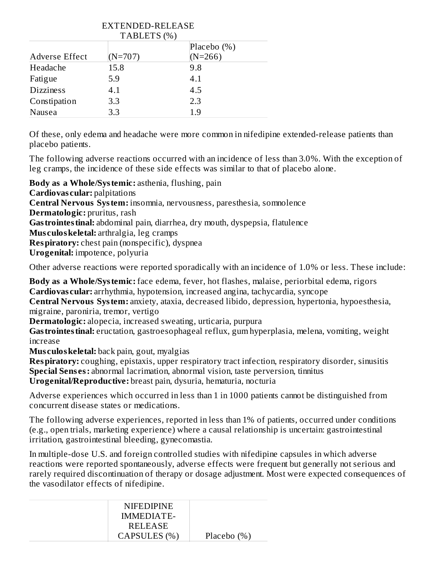#### EXTENDED-RELEASE  $TATTTC(0)$

|                  | $I$ ABLE $I$ $\geq$ $($ $\frac{90}{20}$ |             |
|------------------|-----------------------------------------|-------------|
|                  |                                         | Placebo (%) |
| Adverse Effect   | $(N=707)$                               | $(N=266)$   |
| Headache         | 15.8                                    | 9.8         |
| Fatigue          | 5.9                                     | 4.1         |
| <b>Dizziness</b> | 4.1                                     | 4.5         |
| Constipation     | 3.3                                     | 2.3         |
| Nausea           | 3.3                                     | 1.9         |

Of these, only edema and headache were more common in nifedipine extended-release patients than placebo patients.

The following adverse reactions occurred with an incidence of less than 3.0%. With the exception of leg cramps, the incidence of these side effects was similar to that of placebo alone.

**Body as a Whole/Systemic:** asthenia, flushing, pain

**Cardiovas cular:** palpitations

**Central Nervous System:** insomnia, nervousness, paresthesia, somnolence

**Dermatologic:** pruritus, rash

**Gastrointestinal:** abdominal pain, diarrhea, dry mouth, dyspepsia, flatulence

**Mus culoskeletal:** arthralgia, leg cramps

**Respiratory:** chest pain (nonspecific), dyspnea

**Urogenital:** impotence, polyuria

Other adverse reactions were reported sporadically with an incidence of 1.0% or less. These include:

**Body as a Whole/Systemic:** face edema, fever, hot flashes, malaise, periorbital edema, rigors **Cardiovas cular:** arrhythmia, hypotension, increased angina, tachycardia, syncope

**Central Nervous System:** anxiety, ataxia, decreased libido, depression, hypertonia, hypoesthesia, migraine, paroniria, tremor, vertigo

**Dermatologic:** alopecia, increased sweating, urticaria, purpura

**Gastrointestinal:** eructation, gastroesophageal reflux, gum hyperplasia, melena, vomiting, weight increase

**Mus culoskeletal:** back pain, gout, myalgias

**Respiratory:** coughing, epistaxis, upper respiratory tract infection, respiratory disorder, sinusitis **Special Sens es:** abnormal lacrimation, abnormal vision, taste perversion, tinnitus **Urogenital/Reproductive:** breast pain, dysuria, hematuria, nocturia

Adverse experiences which occurred in less than 1 in 1000 patients cannot be distinguished from concurrent disease states or medications.

The following adverse experiences, reported in less than 1% of patients, occurred under conditions (e.g., open trials, marketing experience) where a causal relationship is uncertain: gastrointestinal irritation, gastrointestinal bleeding, gynecomastia.

In multiple-dose U.S. and foreign controlled studies with nifedipine capsules in which adverse reactions were reported spontaneously, adverse effects were frequent but generally not serious and rarely required discontinuation of therapy or dosage adjustment. Most were expected consequences of the vasodilator effects of nifedipine.

| <b>NIFEDIPINE</b> |                |
|-------------------|----------------|
| IMMEDIATE-        |                |
| <b>RELEASE</b>    |                |
| CAPSULES (%)      | Placebo $(\%)$ |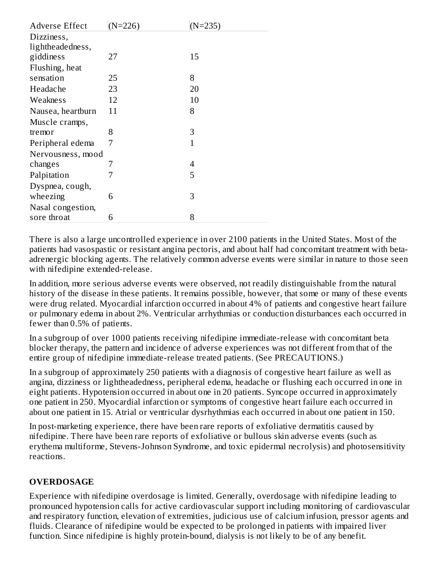| <b>Adverse Effect</b> | $(N=226)$ | $(N=235)$ |  |  |  |
|-----------------------|-----------|-----------|--|--|--|
| Dizziness,            |           |           |  |  |  |
| lightheadedness,      |           |           |  |  |  |
| giddiness             | 27        | 15        |  |  |  |
| Flushing, heat        |           |           |  |  |  |
| sensation             | 25        | 8         |  |  |  |
| Headache              | 23        | 20        |  |  |  |
| Weakness              | 12        | 10        |  |  |  |
| Nausea, heartburn     | 11        | 8         |  |  |  |
| Muscle cramps,        |           |           |  |  |  |
| tremor                | 8         | 3         |  |  |  |
| Peripheral edema      | 7         | 1         |  |  |  |
| Nervousness, mood     |           |           |  |  |  |
| changes               | 7         | 4         |  |  |  |
| Palpitation           | 7         | 5         |  |  |  |
| Dyspnea, cough,       |           |           |  |  |  |
| wheezing              | 6         | 3         |  |  |  |
| Nasal congestion,     |           |           |  |  |  |
| sore throat           | 6         | 8         |  |  |  |

There is also a large uncontrolled experience in over 2100 patients in the United States. Most of the patients had vasospastic or resistant angina pectoris, and about half had concomitant treatment with betaadrenergic blocking agents. The relatively common adverse events were similar in nature to those seen with nifedipine extended-release.

In addition, more serious adverse events were observed, not readily distinguishable from the natural history of the disease in these patients. It remains possible, however, that some or many of these events were drug related. Myocardial infarction occurred in about 4% of patients and congestive heart failure or pulmonary edema in about 2%. Ventricular arrhythmias or conduction disturbances each occurred in fewer than 0.5% of patients.

In a subgroup of over 1000 patients receiving nifedipine immediate-release with concomitant beta blocker therapy, the pattern and incidence of adverse experiences was not different from that of the entire group of nifedipine immediate-release treated patients. (See PRECAUTIONS.)

In a subgroup of approximately 250 patients with a diagnosis of congestive heart failure as well as angina, dizziness or lightheadedness, peripheral edema, headache or flushing each occurred in one in eight patients. Hypotension occurred in about one in 20 patients. Syncope occurred in approximately one patient in 250. Myocardial infarction or symptoms of congestive heart failure each occurred in about one patient in 15. Atrial or ventricular dysrhythmias each occurred in about one patient in 150.

In post-marketing experience, there have been rare reports of exfoliative dermatitis caused by nifedipine. There have been rare reports of exfoliative or bullous skin adverse events (such as erythema multiforme, Stevens-Johnson Syndrome, and toxic epidermal necrolysis) and photosensitivity reactions.

# **OVERDOSAGE**

Experience with nifedipine overdosage is limited. Generally, overdosage with nifedipine leading to pronounced hypotension calls for active cardiovascular support including monitoring of cardiovascular and respiratory function, elevation of extremities, judicious use of calcium infusion, pressor agents and fluids. Clearance of nifedipine would be expected to be prolonged in patients with impaired liver function. Since nifedipine is highly protein-bound, dialysis is not likely to be of any benefit.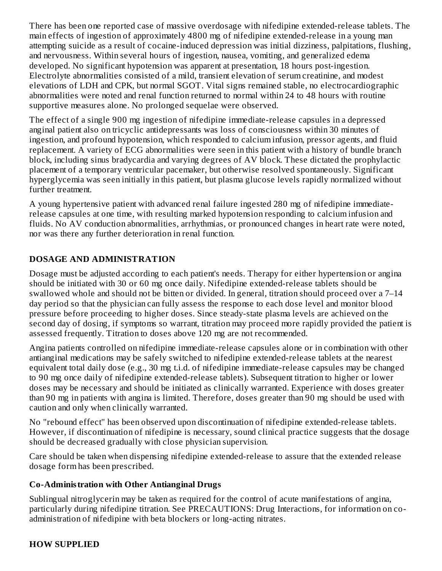There has been one reported case of massive overdosage with nifedipine extended-release tablets. The main effects of ingestion of approximately 4800 mg of nifedipine extended-release in a young man attempting suicide as a result of cocaine-induced depression was initial dizziness, palpitations, flushing, and nervousness. Within several hours of ingestion, nausea, vomiting, and generalized edema developed. No significant hypotension was apparent at presentation, 18 hours post-ingestion. Electrolyte abnormalities consisted of a mild, transient elevation of serum creatinine, and modest elevations of LDH and CPK, but normal SGOT. Vital signs remained stable, no electrocardiographic abnormalities were noted and renal function returned to normal within 24 to 48 hours with routine supportive measures alone. No prolonged sequelae were observed.

The effect of a single 900 mg ingestion of nifedipine immediate-release capsules in a depressed anginal patient also on tricyclic antidepressants was loss of consciousness within 30 minutes of ingestion, and profound hypotension, which responded to calcium infusion, pressor agents, and fluid replacement. A variety of ECG abnormalities were seen in this patient with a history of bundle branch block, including sinus bradycardia and varying degrees of AV block. These dictated the prophylactic placement of a temporary ventricular pacemaker, but otherwise resolved spontaneously. Significant hyperglycemia was seen initially in this patient, but plasma glucose levels rapidly normalized without further treatment.

A young hypertensive patient with advanced renal failure ingested 280 mg of nifedipine immediaterelease capsules at one time, with resulting marked hypotension responding to calcium infusion and fluids. No AV conduction abnormalities, arrhythmias, or pronounced changes in heart rate were noted, nor was there any further deterioration in renal function.

#### **DOSAGE AND ADMINISTRATION**

Dosage must be adjusted according to each patient's needs. Therapy for either hypertension or angina should be initiated with 30 or 60 mg once daily. Nifedipine extended-release tablets should be swallowed whole and should not be bitten or divided. In general, titration should proceed over a 7–14 day period so that the physician can fully assess the response to each dose level and monitor blood pressure before proceeding to higher doses. Since steady-state plasma levels are achieved on the second day of dosing, if symptoms so warrant, titration may proceed more rapidly provided the patient is assessed frequently. Titration to doses above 120 mg are not recommended.

Angina patients controlled on nifedipine immediate-release capsules alone or in combination with other antianginal medications may be safely switched to nifedipine extended-release tablets at the nearest equivalent total daily dose (e.g., 30 mg t.i.d. of nifedipine immediate-release capsules may be changed to 90 mg once daily of nifedipine extended-release tablets). Subsequent titration to higher or lower doses may be necessary and should be initiated as clinically warranted. Experience with doses greater than 90 mg in patients with angina is limited. Therefore, doses greater than 90 mg should be used with caution and only when clinically warranted.

No "rebound effect" has been observed upon discontinuation of nifedipine extended-release tablets. However, if discontinuation of nifedipine is necessary, sound clinical practice suggests that the dosage should be decreased gradually with close physician supervision.

Care should be taken when dispensing nifedipine extended-release to assure that the extended release dosage form has been prescribed.

#### **Co-Administration with Other Antianginal Drugs**

Sublingual nitroglycerin may be taken as required for the control of acute manifestations of angina, particularly during nifedipine titration. See PRECAUTIONS: Drug Interactions, for information on coadministration of nifedipine with beta blockers or long-acting nitrates.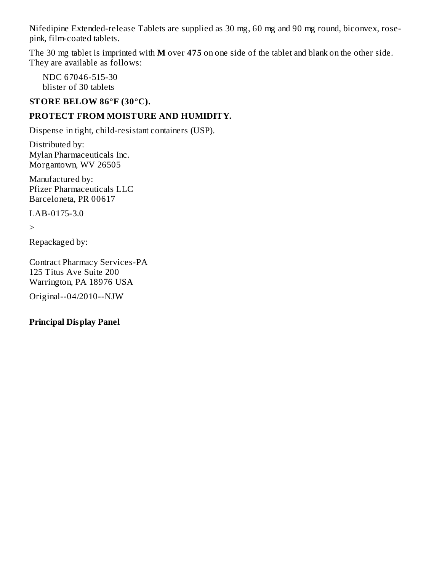Nifedipine Extended-release Tablets are supplied as 30 mg, 60 mg and 90 mg round, biconvex, rosepink, film-coated tablets.

The 30 mg tablet is imprinted with **M** over **475** on one side of the tablet and blank on the other side. They are available as follows:

NDC 67046-515-30 blister of 30 tablets

#### **STORE BELOW 86°F (30°C).**

# **PROTECT FROM MOISTURE AND HUMIDITY.**

Dispense in tight, child-resistant containers (USP).

Distributed by: Mylan Pharmaceuticals Inc. Morgantown, WV 26505

Manufactured by: Pfizer Pharmaceuticals LLC Barceloneta, PR 00617

LAB-0175-3.0

>

Repackaged by:

Contract Pharmacy Services-PA 125 Titus Ave Suite 200 Warrington, PA 18976 USA

Original--04/2010--NJW

# **Principal Display Panel**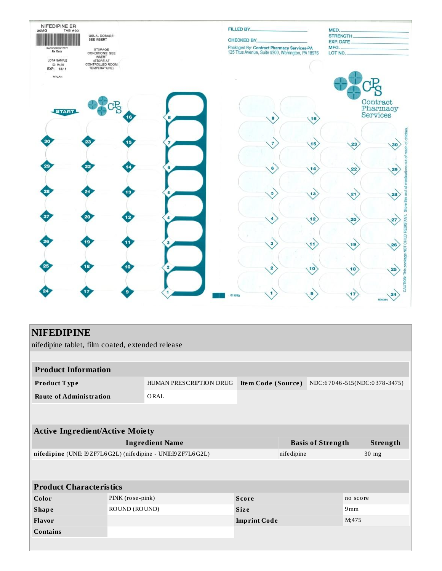

#### **NIFEDIPINE**

nifedipine tablet, film coated, extended release

| <b>Product Information</b>                                                 |                  |                         |                     |         |                              |                 |  |
|----------------------------------------------------------------------------|------------------|-------------------------|---------------------|---------|------------------------------|-----------------|--|
| Product Type                                                               |                  | HUMAN PRESCRIPTION DRUG | Item Code (Source)  |         | NDC:67046-515(NDC:0378-3475) |                 |  |
| <b>Route of Administration</b>                                             |                  | ORAL                    |                     |         |                              |                 |  |
|                                                                            |                  |                         |                     |         |                              |                 |  |
|                                                                            |                  |                         |                     |         |                              |                 |  |
| <b>Active Ingredient/Active Moiety</b>                                     |                  |                         |                     |         |                              |                 |  |
| <b>Ingredient Name</b>                                                     |                  |                         |                     |         | <b>Basis of Strength</b>     | <b>Strength</b> |  |
| nifedipine (UNII: I9ZF7L6G2L) (nifedipine - UNII:I9ZF7L6G2L)<br>nifedipine |                  |                         |                     | $30$ mg |                              |                 |  |
|                                                                            |                  |                         |                     |         |                              |                 |  |
|                                                                            |                  |                         |                     |         |                              |                 |  |
| <b>Product Characteristics</b>                                             |                  |                         |                     |         |                              |                 |  |
| Color                                                                      | PINK (rose-pink) |                         | <b>Score</b>        |         |                              | no score        |  |
| <b>Shape</b>                                                               | ROUND (ROUND)    |                         | <b>Size</b>         |         | 9mm                          |                 |  |
| <b>Flavor</b>                                                              |                  |                         | <b>Imprint Code</b> |         | M;475                        |                 |  |
| Contains                                                                   |                  |                         |                     |         |                              |                 |  |
|                                                                            |                  |                         |                     |         |                              |                 |  |